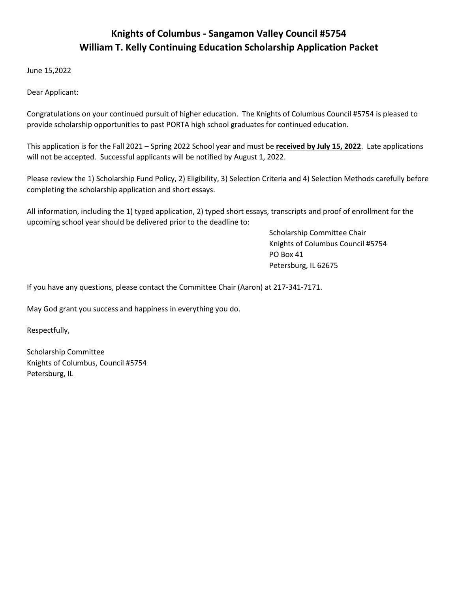# **Knights of Columbus - Sangamon Valley Council #5754 William T. Kelly Continuing Education Scholarship Application Packet**

June 15,2022

Dear Applicant:

Congratulations on your continued pursuit of higher education. The Knights of Columbus Council #5754 is pleased to provide scholarship opportunities to past PORTA high school graduates for continued education.

This application is for the Fall 2021 – Spring 2022 School year and must be **received by July 15, 2022**. Late applications will not be accepted. Successful applicants will be notified by August 1, 2022.

Please review the 1) Scholarship Fund Policy, 2) Eligibility, 3) Selection Criteria and 4) Selection Methods carefully before completing the scholarship application and short essays.

All information, including the 1) typed application, 2) typed short essays, transcripts and proof of enrollment for the upcoming school year should be delivered prior to the deadline to:

> Scholarship Committee Chair Knights of Columbus Council #5754 PO Box 41 Petersburg, IL 62675

If you have any questions, please contact the Committee Chair (Aaron) at 217-341-7171.

May God grant you success and happiness in everything you do.

Respectfully,

Scholarship Committee Knights of Columbus, Council #5754 Petersburg, IL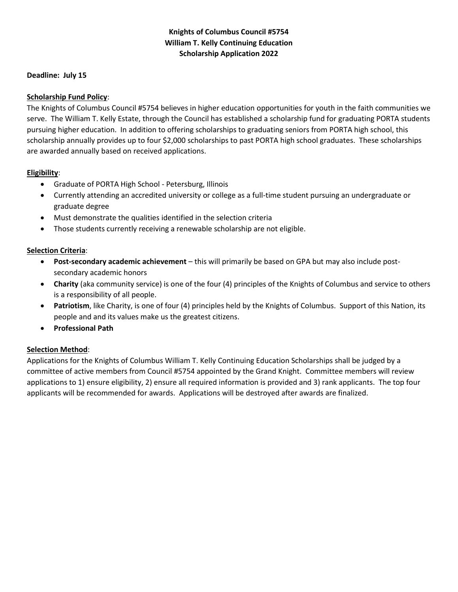# **Knights of Columbus Council #5754 William T. Kelly Continuing Education Scholarship Application 2022**

#### **Deadline: July 15**

## **Scholarship Fund Policy**:

The Knights of Columbus Council #5754 believes in higher education opportunities for youth in the faith communities we serve. The William T. Kelly Estate, through the Council has established a scholarship fund for graduating PORTA students pursuing higher education. In addition to offering scholarships to graduating seniors from PORTA high school, this scholarship annually provides up to four \$2,000 scholarships to past PORTA high school graduates. These scholarships are awarded annually based on received applications.

#### **Eligibility**:

- Graduate of PORTA High School Petersburg, Illinois
- Currently attending an accredited university or college as a full-time student pursuing an undergraduate or graduate degree
- Must demonstrate the qualities identified in the selection criteria
- Those students currently receiving a renewable scholarship are not eligible.

# **Selection Criteria**:

- **Post-secondary academic achievement** this will primarily be based on GPA but may also include postsecondary academic honors
- **Charity** (aka community service) is one of the four (4) principles of the Knights of Columbus and service to others is a responsibility of all people.
- **Patriotism**, like Charity, is one of four (4) principles held by the Knights of Columbus. Support of this Nation, its people and and its values make us the greatest citizens.
- **Professional Path**

# **Selection Method**:

Applications for the Knights of Columbus William T. Kelly Continuing Education Scholarships shall be judged by a committee of active members from Council #5754 appointed by the Grand Knight. Committee members will review applications to 1) ensure eligibility, 2) ensure all required information is provided and 3) rank applicants. The top four applicants will be recommended for awards. Applications will be destroyed after awards are finalized.